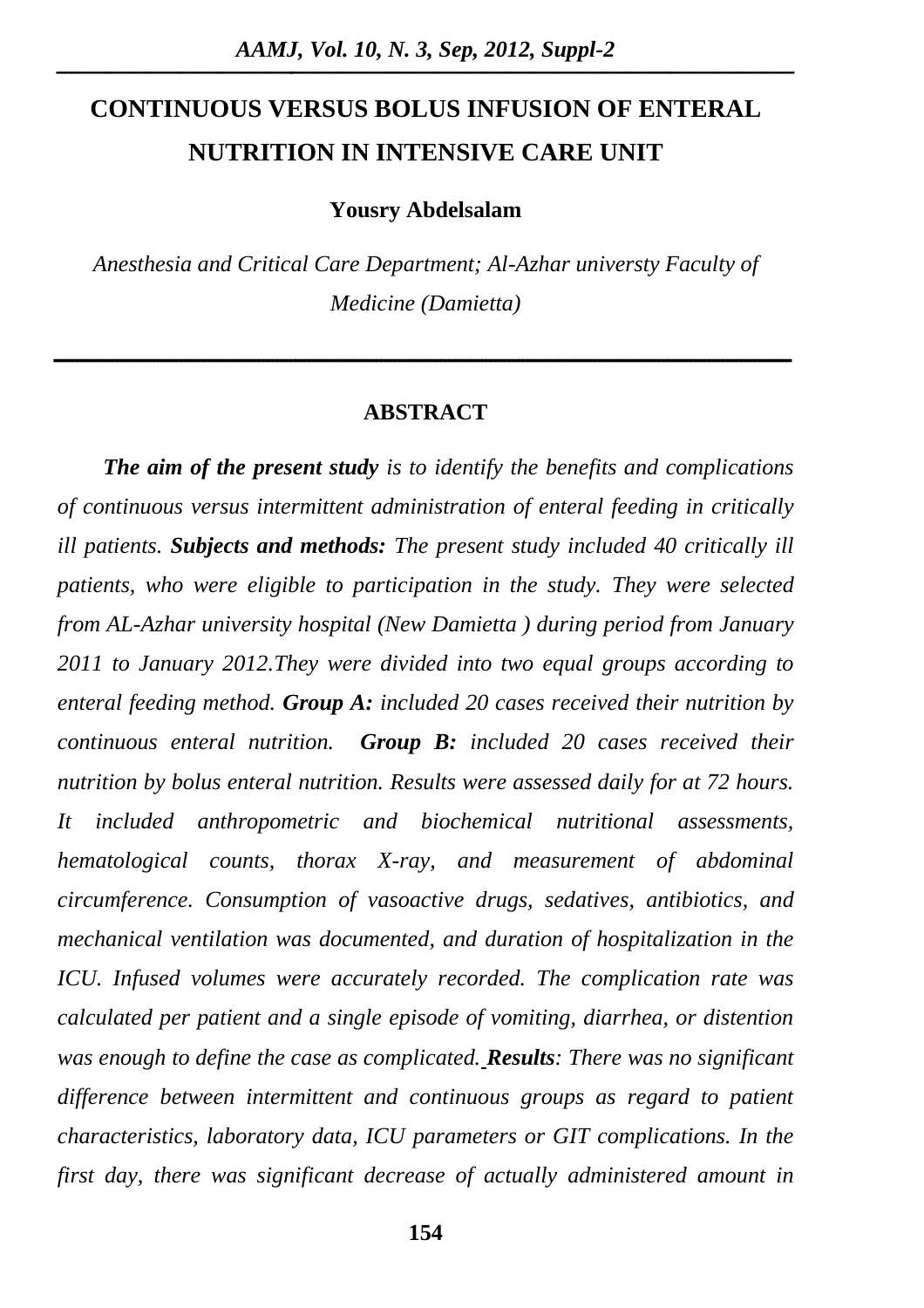# **CONTINUOUS VERSUS BOLUS INFUSION OF ENTERAL NUTRITION IN INTENSIVE CARE UNIT**

**Yousry Abdelsalam**

*Anesthesia and Critical Care Department; Al-Azhar universty Faculty of Medicine (Damietta)*

#### **ABSTRACT**

**ــــــــــــــــــــــــــــــــــــــــــــــــــــــــــــــــــــــــــــــــــــــــــــــــــــــــــــــــــــــــــــــــــــــــــــــــــــــــــــــــــ** 

*The aim of the present study is to identify the benefits and complications of continuous versus intermittent administration of enteral feeding in critically ill patients. Subjects and methods: The present study included 40 critically ill patients, who were eligible to participation in the study. They were selected from AL-Azhar university hospital (New Damietta ) during period from January 2011 to January 2012.They were divided into two equal groups according to enteral feeding method. Group A: included 20 cases received their nutrition by continuous enteral nutrition. Group B: included 20 cases received their nutrition by bolus enteral nutrition. Results were assessed daily for at 72 hours. It included anthropometric and biochemical nutritional assessments, hematological counts, thorax X-ray, and measurement of abdominal circumference. Consumption of vasoactive drugs, sedatives, antibiotics, and mechanical ventilation was documented, and duration of hospitalization in the ICU. Infused volumes were accurately recorded. The complication rate was calculated per patient and a single episode of vomiting, diarrhea, or distention was enough to define the case as complicated. Results: There was no significant*  difference between intermittent and continuous groups as regard to patient *characteristics, laboratory data, ICU parameters or GIT complications. In the first day, there was significant decrease of actually administered amount in*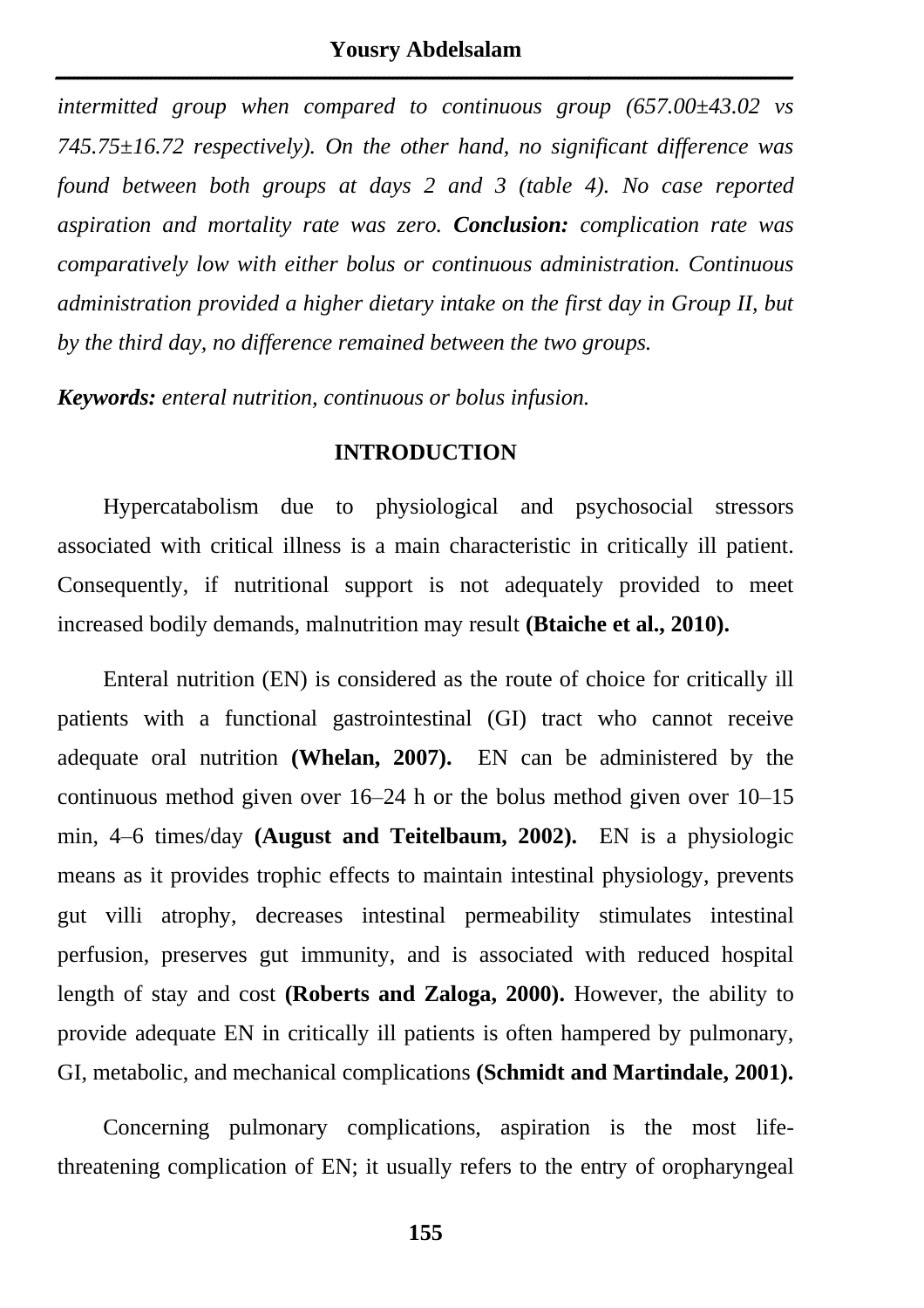*intermitted group when compared to continuous group (657.00±43.02 vs 745.75±16.72 respectively). On the other hand, no significant difference was found between both groups at days 2 and 3 (table 4). No case reported aspiration and mortality rate was zero. Conclusion: complication rate was comparatively low with either bolus or continuous administration. Continuous administration provided a higher dietary intake on the first day in Group II, but by the third day, no difference remained between the two groups.* 

*Keywords: enteral nutrition, continuous or bolus infusion.*

#### **INTRODUCTION**

Hypercatabolism due to physiological and psychosocial stressors associated with critical illness is a main characteristic in critically ill patient. Consequently, if nutritional support is not adequately provided to meet increased bodily demands, malnutrition may result **(Btaiche et al., 2010).** 

Enteral nutrition (EN) is considered as the route of choice for critically ill patients with a functional gastrointestinal (GI) tract who cannot receive adequate oral nutrition **(Whelan, 2007).** EN can be administered by the continuous method given over 16–24 h or the bolus method given over 10–15 min, 4–6 times/day **(August and Teitelbaum, 2002).** EN is a physiologic means as it provides trophic effects to maintain intestinal physiology, prevents gut villi atrophy, decreases intestinal permeability stimulates intestinal perfusion, preserves gut immunity, and is associated with reduced hospital length of stay and cost **(Roberts and Zaloga, 2000).** However, the ability to provide adequate EN in critically ill patients is often hampered by pulmonary, GI, metabolic, and mechanical complications **(Schmidt and Martindale, 2001).** 

Concerning pulmonary complications, aspiration is the most lifethreatening complication of EN; it usually refers to the entry of oropharyngeal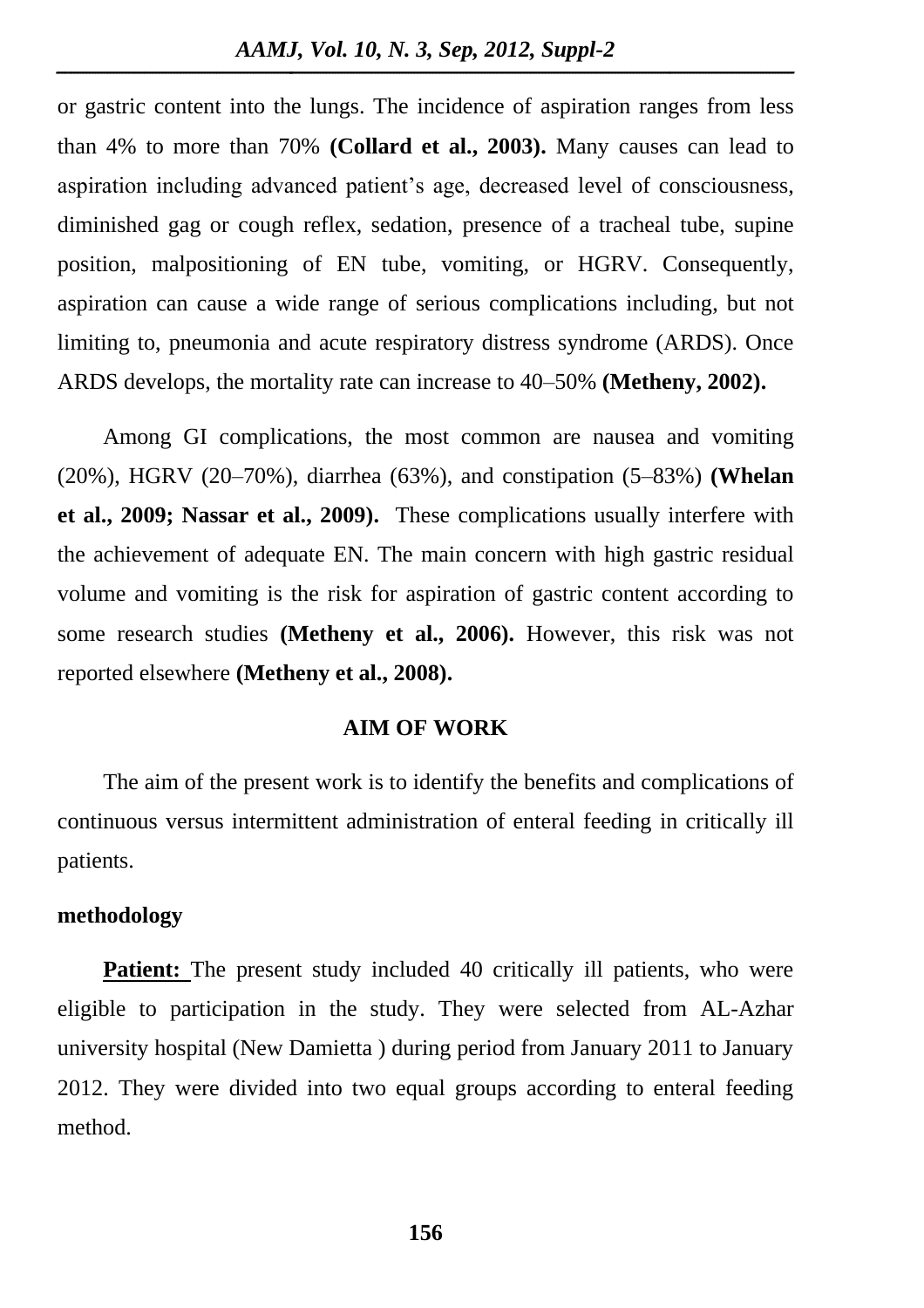or gastric content into the lungs. The incidence of aspiration ranges from less than 4% to more than 70% **(Collard et al., 2003).** Many causes can lead to aspiration including advanced patient's age, decreased level of consciousness, diminished gag or cough reflex, sedation, presence of a tracheal tube, supine position, malpositioning of EN tube, vomiting, or HGRV. Consequently, aspiration can cause a wide range of serious complications including, but not limiting to, pneumonia and acute respiratory distress syndrome (ARDS). Once ARDS develops, the mortality rate can increase to 40–50% **(Metheny, 2002).** 

Among GI complications, the most common are nausea and vomiting (20%), HGRV (20–70%), diarrhea (63%), and constipation (5–83%) **(Whelan et al., 2009; Nassar et al., 2009).** These complications usually interfere with the achievement of adequate EN. The main concern with high gastric residual volume and vomiting is the risk for aspiration of gastric content according to some research studies **(Metheny et al., 2006).** However, this risk was not reported elsewhere **(Metheny et al., 2008).**

### **AIM OF WORK**

The aim of the present work is to identify the benefits and complications of continuous versus intermittent administration of enteral feeding in critically ill patients.

#### **methodology**

**Patient:** The present study included 40 critically ill patients, who were eligible to participation in the study. They were selected from AL-Azhar university hospital (New Damietta ) during period from January 2011 to January 2012. They were divided into two equal groups according to enteral feeding method.

**156**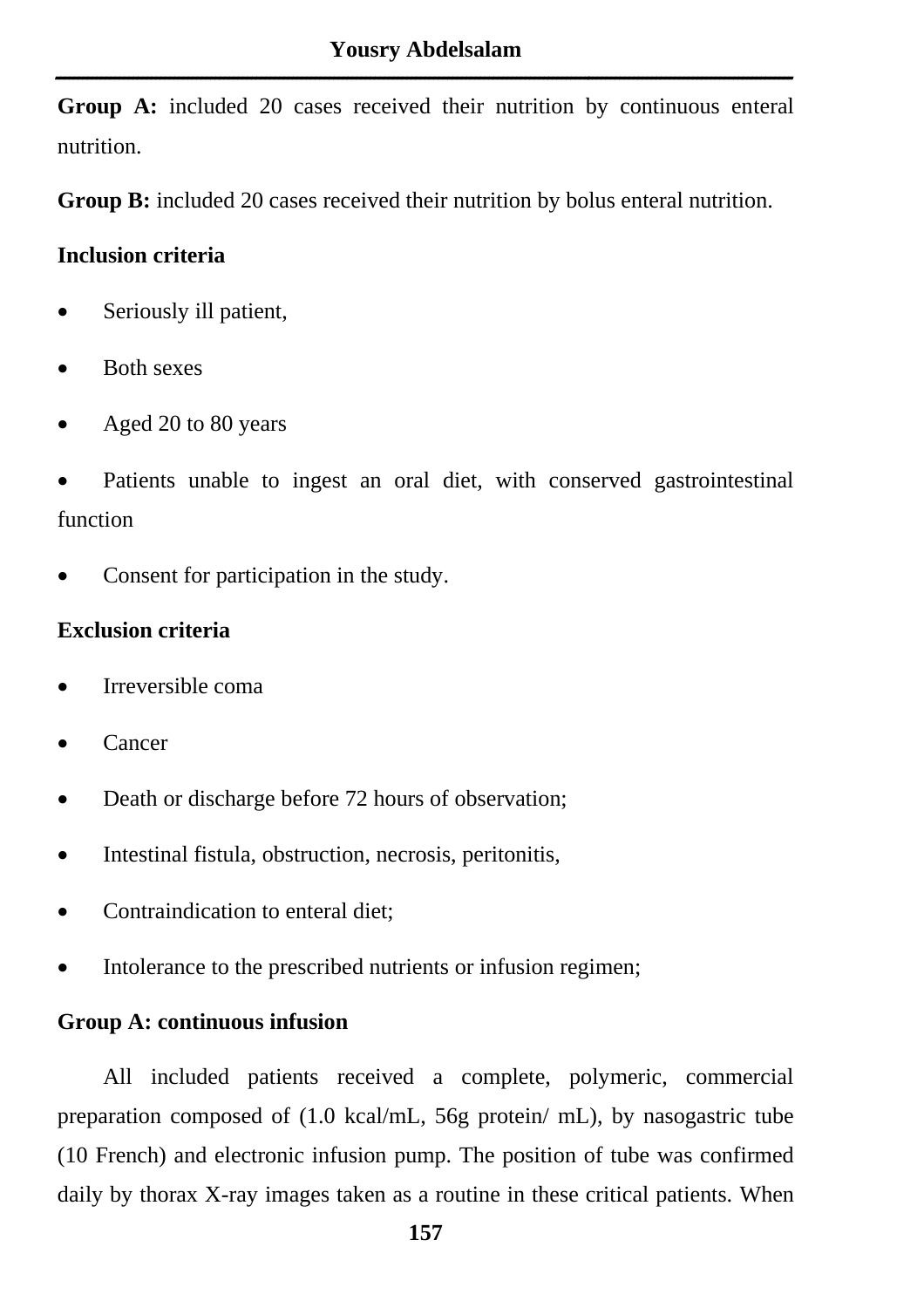**Group A:** included 20 cases received their nutrition by continuous enteral nutrition.

**Group B:** included 20 cases received their nutrition by bolus enteral nutrition.

## **Inclusion criteria**

- Seriously ill patient,
- Both sexes
- Aged 20 to 80 years
- Patients unable to ingest an oral diet, with conserved gastrointestinal function
- Consent for participation in the study.

# **Exclusion criteria**

- Irreversible coma
- Cancer
- Death or discharge before 72 hours of observation;
- Intestinal fistula, obstruction, necrosis, peritonitis,
- Contraindication to enteral diet;
- Intolerance to the prescribed nutrients or infusion regimen;

### **Group A: continuous infusion**

All included patients received a complete, polymeric, commercial preparation composed of (1.0 kcal/mL, 56g protein/ mL), by nasogastric tube (10 French) and electronic infusion pump. The position of tube was confirmed daily by thorax X-ray images taken as a routine in these critical patients. When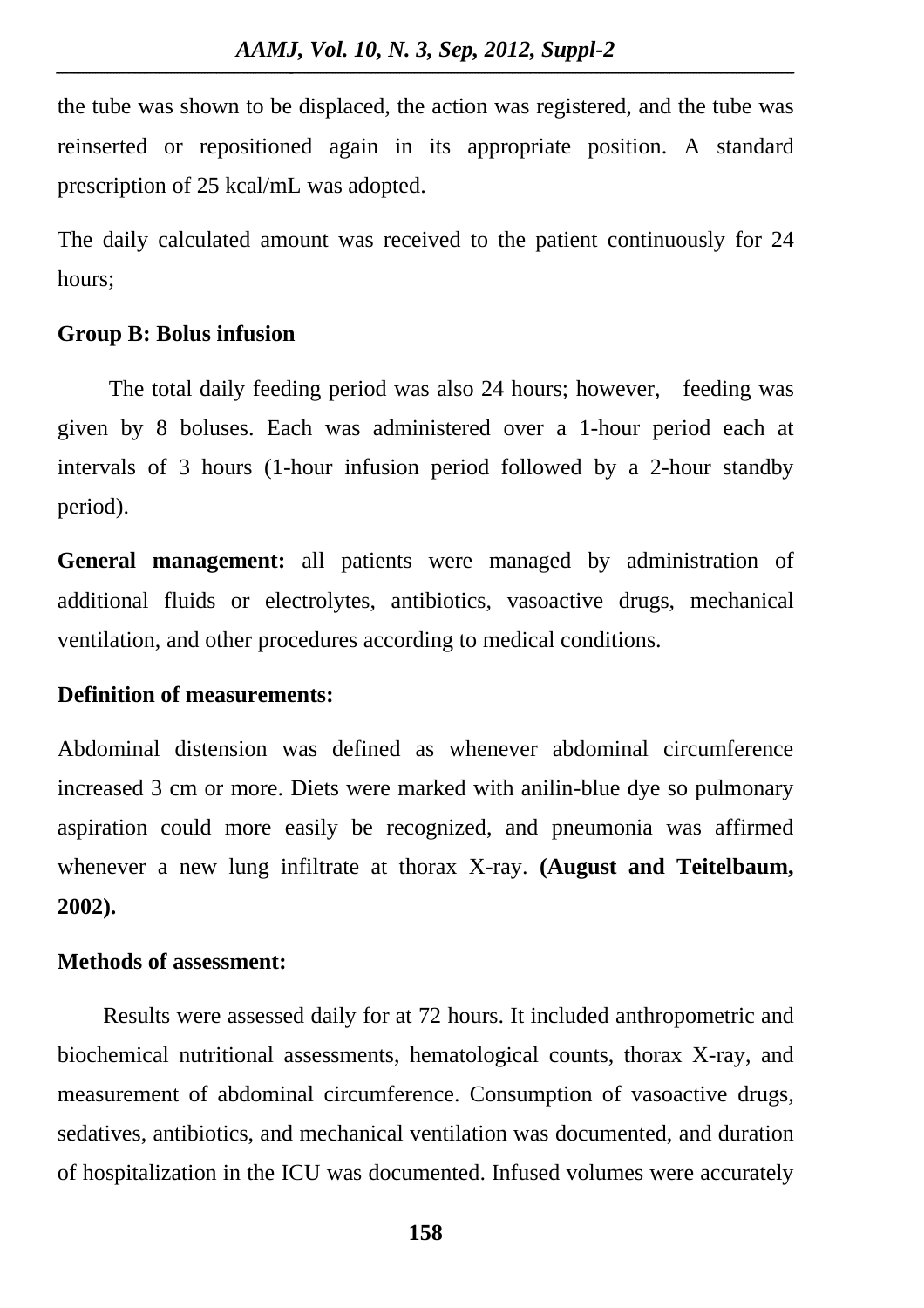the tube was shown to be displaced, the action was registered, and the tube was reinserted or repositioned again in its appropriate position. A standard prescription of 25 kcal/mL was adopted.

The daily calculated amount was received to the patient continuously for 24 hours;

### **Group B: Bolus infusion**

The total daily feeding period was also 24 hours; however, feeding was given by 8 boluses. Each was administered over a 1-hour period each at intervals of 3 hours (1-hour infusion period followed by a 2-hour standby period).

**General management:** all patients were managed by administration of additional fluids or electrolytes, antibiotics, vasoactive drugs, mechanical ventilation, and other procedures according to medical conditions.

### **Definition of measurements:**

Abdominal distension was defined as whenever abdominal circumference increased 3 cm or more. Diets were marked with anilin-blue dye so pulmonary aspiration could more easily be recognized, and pneumonia was affirmed whenever a new lung infiltrate at thorax X-ray. **(August and Teitelbaum, 2002).**

### **Methods of assessment:**

Results were assessed daily for at 72 hours. It included anthropometric and biochemical nutritional assessments, hematological counts, thorax X-ray, and measurement of abdominal circumference. Consumption of vasoactive drugs, sedatives, antibiotics, and mechanical ventilation was documented, and duration of hospitalization in the ICU was documented. Infused volumes were accurately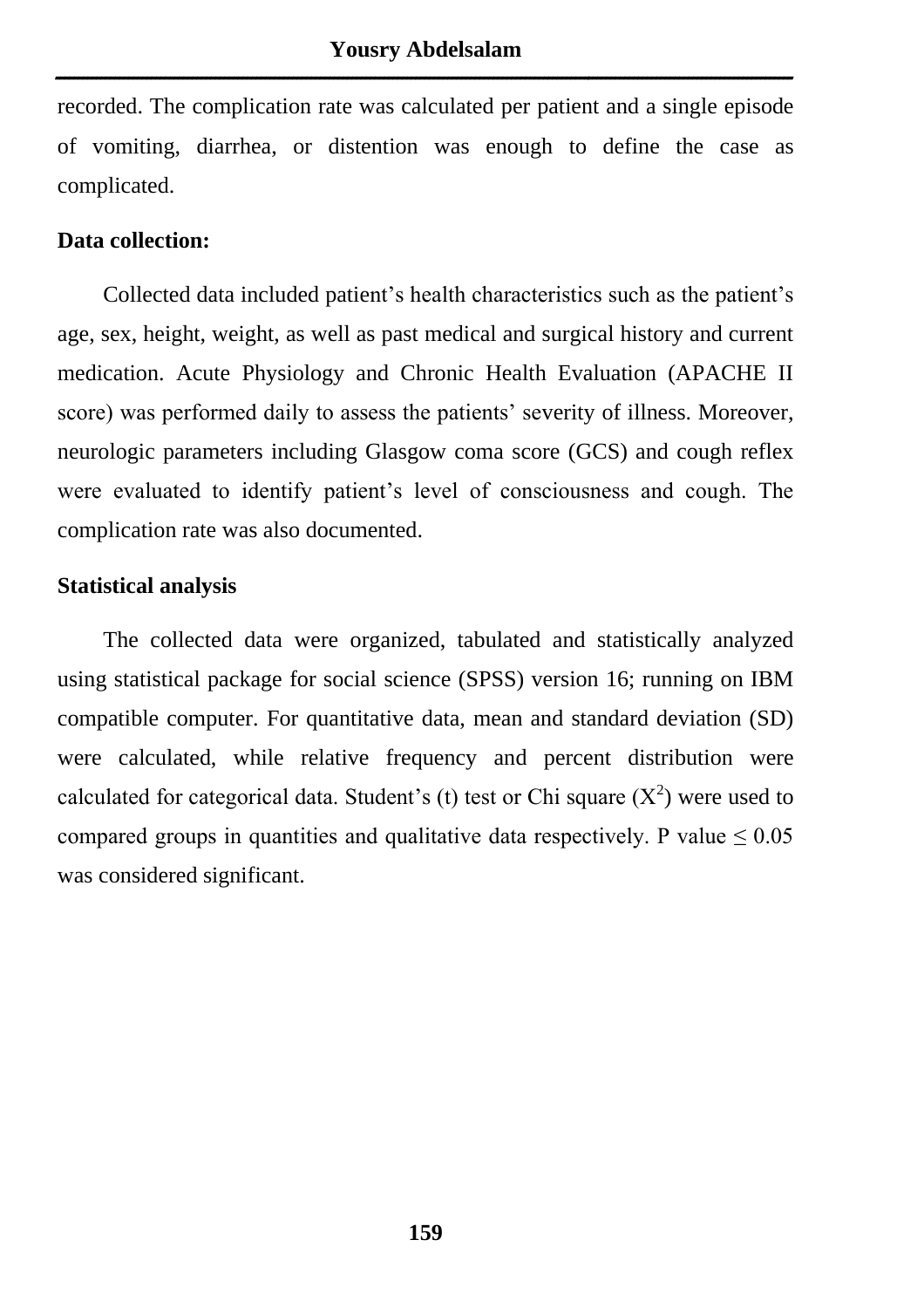recorded. The complication rate was calculated per patient and a single episode of vomiting, diarrhea, or distention was enough to define the case as complicated.

### **Data collection:**

Collected data included patient's health characteristics such as the patient's age, sex, height, weight, as well as past medical and surgical history and current medication. Acute Physiology and Chronic Health Evaluation (APACHE II score) was performed daily to assess the patients' severity of illness. Moreover, neurologic parameters including Glasgow coma score (GCS) and cough reflex were evaluated to identify patient's level of consciousness and cough. The complication rate was also documented.

### **Statistical analysis**

The collected data were organized, tabulated and statistically analyzed using statistical package for social science (SPSS) version 16; running on IBM compatible computer. For quantitative data, mean and standard deviation (SD) were calculated, while relative frequency and percent distribution were calculated for categorical data. Student's (t) test or Chi square  $(X^2)$  were used to compared groups in quantities and qualitative data respectively. P value  $\leq 0.05$ was considered significant.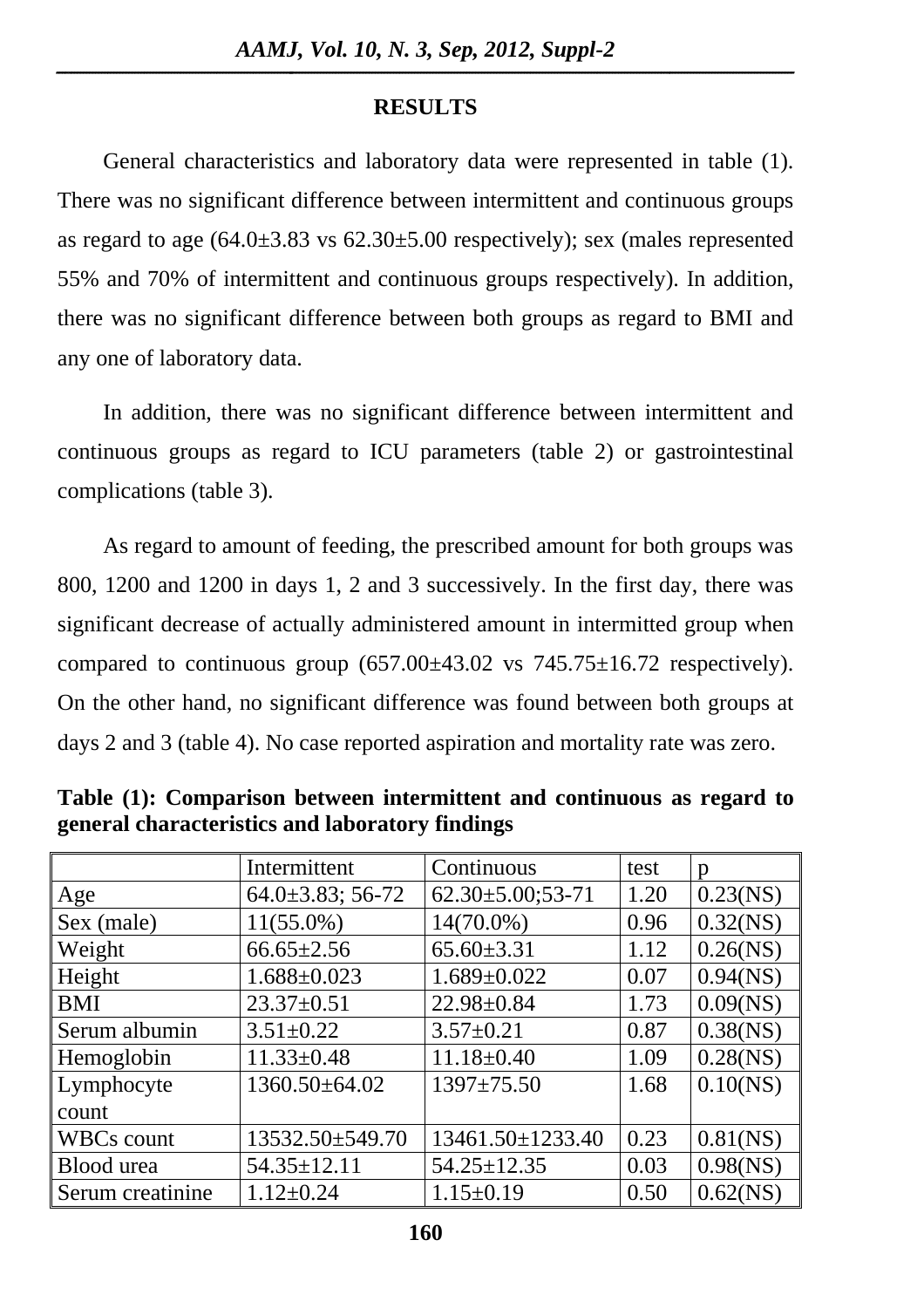### **RESULTS**

General characteristics and laboratory data were represented in table (1). There was no significant difference between intermittent and continuous groups as regard to age  $(64.0\pm3.83 \text{ vs } 62.30\pm5.00 \text{ respectively})$ ; sex (males represented 55% and 70% of intermittent and continuous groups respectively). In addition, there was no significant difference between both groups as regard to BMI and any one of laboratory data.

In addition, there was no significant difference between intermittent and continuous groups as regard to ICU parameters (table 2) or gastrointestinal complications (table 3).

As regard to amount of feeding, the prescribed amount for both groups was 800, 1200 and 1200 in days 1, 2 and 3 successively. In the first day, there was significant decrease of actually administered amount in intermitted group when compared to continuous group  $(657.00\pm43.02 \text{ vs } 745.75\pm16.72 \text{ respectively}).$ On the other hand, no significant difference was found between both groups at days 2 and 3 (table 4). No case reported aspiration and mortality rate was zero.

|                   | Intermittent            | Continuous                | test | p           |
|-------------------|-------------------------|---------------------------|------|-------------|
| Age               | $64.0 \pm 3.83$ ; 56-72 | $62.30 \pm 5.00; 53 - 71$ | 1.20 | $0.23$ (NS) |
| Sex (male)        | $11(55.0\%)$            | $14(70.0\%)$              | 0.96 | $0.32$ (NS) |
| Weight            | $66.65 \pm 2.56$        | $65.60 \pm 3.31$          | 1.12 | $0.26$ (NS) |
| Height            | $1.688 \pm 0.023$       | $1.689 \pm 0.022$         | 0.07 | $0.94$ (NS) |
| <b>BMI</b>        | $23.37 \pm 0.51$        | $22.98 \pm 0.84$          | 1.73 | $0.09$ (NS) |
| Serum albumin     | $3.51 \pm 0.22$         | $3.57 \pm 0.21$           | 0.87 | $0.38$ (NS) |
| Hemoglobin        | $11.33 \pm 0.48$        | $11.18 \pm 0.40$          | 1.09 | $0.28$ (NS) |
| Lymphocyte        | $1360.50\pm 64.02$      | $1397 \pm 75.50$          | 1.68 | $0.10$ (NS) |
| count             |                         |                           |      |             |
| <b>WBCs count</b> | $13532.50 \pm 549.70$   | $13461.50 \pm 1233.40$    | 0.23 | $0.81$ (NS) |
| Blood urea        | $54.35 \pm 12.11$       | $54.25 \pm 12.35$         | 0.03 | $0.98$ (NS) |
| Serum creatinine  | $1.12 \pm 0.24$         | $1.15 \pm 0.19$           | 0.50 | $0.62$ (NS) |

**Table (1): Comparison between intermittent and continuous as regard to general characteristics and laboratory findings**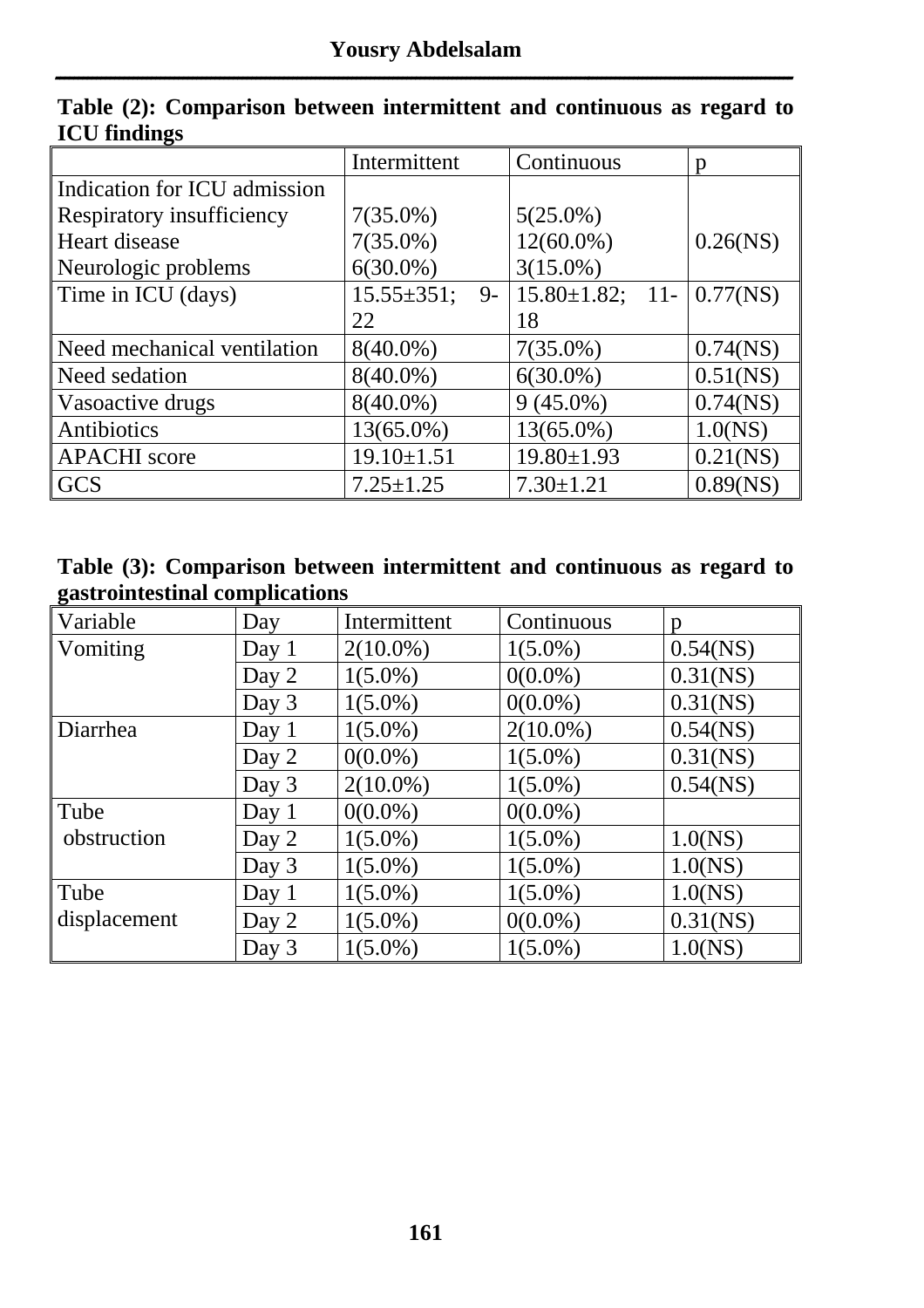|                              | Intermittent              | Continuous                         | $\mathfrak{p}$ |
|------------------------------|---------------------------|------------------------------------|----------------|
| Indication for ICU admission |                           |                                    |                |
| Respiratory insufficiency    | $7(35.0\%)$               | $5(25.0\%)$                        |                |
| Heart disease                | $7(35.0\%)$               | $12(60.0\%)$                       | $0.26$ (NS)    |
| Neurologic problems          | $6(30.0\%)$               | $3(15.0\%)$                        |                |
| Time in ICU (days)           | $15.55 \pm 351$ ;<br>$9-$ | $15.80 \pm 1.82$ ; 11- $0.77$ (NS) |                |
|                              | 22                        | 18                                 |                |
| Need mechanical ventilation  | $8(40.0\%)$               | $7(35.0\%)$                        | $0.74$ (NS)    |
| Need sedation                | $8(40.0\%)$               | $6(30.0\%)$                        | $0.51$ (NS)    |
| Vasoactive drugs             | $8(40.0\%)$               | $9(45.0\%)$                        | $0.74$ (NS)    |
| Antibiotics                  | $13(65.0\%)$              | $13(65.0\%)$                       | 1.0(NS)        |
| <b>APACHI</b> score          | $19.10 \pm 1.51$          | $19.80 \pm 1.93$                   | $0.21$ (NS)    |
| <b>GCS</b>                   | $7.25 \pm 1.25$           | $7.30 \pm 1.21$                    | 0.89(NS)       |

|                     |  | Table (2): Comparison between intermittent and continuous as regard to |  |  |  |
|---------------------|--|------------------------------------------------------------------------|--|--|--|
| <b>ICU findings</b> |  |                                                                        |  |  |  |

| Table (3): Comparison between intermittent and continuous as regard to |  |  |  |
|------------------------------------------------------------------------|--|--|--|
| gastrointestinal complications                                         |  |  |  |

| Variable     | Day     | Intermittent | Continuous  | p           |
|--------------|---------|--------------|-------------|-------------|
| Vomiting     | Day $1$ | $2(10.0\%)$  | $1(5.0\%)$  | $0.54$ (NS) |
|              | Day 2   | $1(5.0\%)$   | $0(0.0\%)$  | $0.31$ (NS) |
|              | Day 3   | $1(5.0\%)$   | $0(0.0\%)$  | $0.31$ (NS) |
| Diarrhea     | Day $1$ | $1(5.0\%)$   | $2(10.0\%)$ | $0.54$ (NS) |
|              | Day 2   | $0(0.0\%)$   | $1(5.0\%)$  | $0.31$ (NS) |
|              | Day 3   | $2(10.0\%)$  | $1(5.0\%)$  | $0.54$ (NS) |
| $ $ Tube     | Day $1$ | $0(0.0\%)$   | $0(0.0\%)$  |             |
| obstruction  | Day 2   | $1(5.0\%)$   | $1(5.0\%)$  | 1.0(NS)     |
|              | Day 3   | $1(5.0\%)$   | $1(5.0\%)$  | 1.0(NS)     |
| $\vert$ Tube | Day $1$ | $1(5.0\%)$   | $1(5.0\%)$  | 1.0(NS)     |
| displacement | Day 2   | $1(5.0\%)$   | $0(0.0\%)$  | $0.31$ (NS) |
|              | Day 3   | $1(5.0\%)$   | $1(5.0\%)$  | 1.0(NS)     |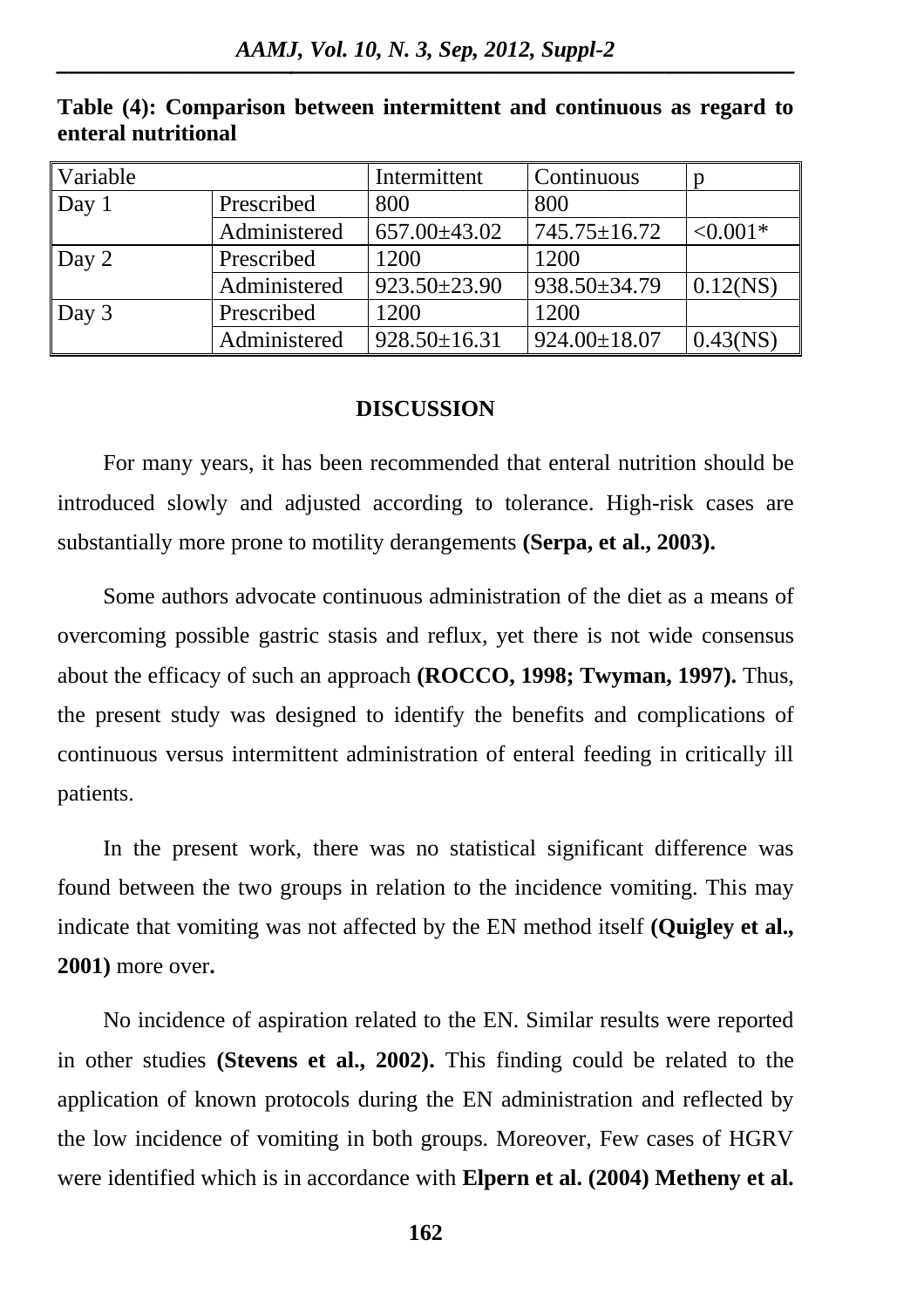| Variable       |              | Intermittent       | Continuous         |             |
|----------------|--------------|--------------------|--------------------|-------------|
| $\Delta$ Day 1 | Prescribed   | 800                | 800                |             |
|                | Administered | $657.00\pm43.02$   | $745.75 \pm 16.72$ | $< 0.001*$  |
| $\log 2$       | Prescribed   | 1200               | 1200               |             |
|                | Administered | $923.50 \pm 23.90$ | $938.50 \pm 34.79$ | $0.12$ (NS) |
| Day 3          | Prescribed   | 1200               | 1200               |             |
|                | Administered | $928.50 \pm 16.31$ | $924.00 \pm 18.07$ | $0.43$ (NS) |

**Table (4): Comparison between intermittent and continuous as regard to enteral nutritional** 

### **DISCUSSION**

For many years, it has been recommended that enteral nutrition should be introduced slowly and adjusted according to tolerance. High-risk cases are substantially more prone to motility derangements **(Serpa, et al., 2003).**

Some authors advocate continuous administration of the diet as a means of overcoming possible gastric stasis and reflux, yet there is not wide consensus about the efficacy of such an approach **(ROCCO, 1998; Twyman, 1997).** Thus, the present study was designed to identify the benefits and complications of continuous versus intermittent administration of enteral feeding in critically ill patients.

In the present work, there was no statistical significant difference was found between the two groups in relation to the incidence vomiting. This may indicate that vomiting was not affected by the EN method itself **(Quigley et al., 2001)** more over**.**

No incidence of aspiration related to the EN. Similar results were reported in other studies **(Stevens et al., 2002).** This finding could be related to the application of known protocols during the EN administration and reflected by the low incidence of vomiting in both groups. Moreover, Few cases of HGRV were identified which is in accordance with **Elpern et al. (2004) Metheny et al.**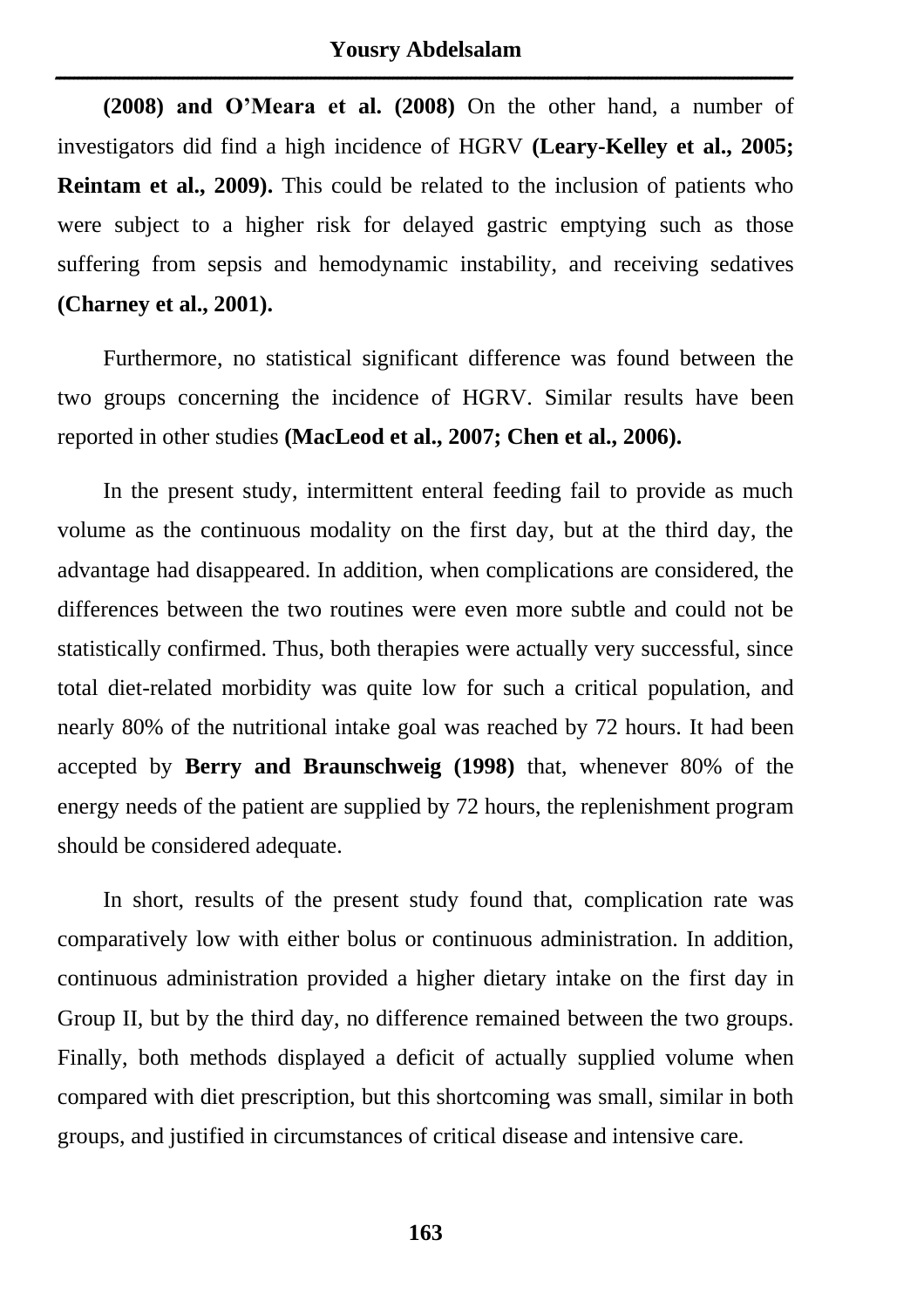**(2008) and O'Meara et al. (2008)** On the other hand, a number of investigators did find a high incidence of HGRV **(Leary-Kelley et al., 2005; Reintam et al., 2009).** This could be related to the inclusion of patients who were subject to a higher risk for delayed gastric emptying such as those suffering from sepsis and hemodynamic instability, and receiving sedatives **(Charney et al., 2001).** 

Furthermore, no statistical significant difference was found between the two groups concerning the incidence of HGRV. Similar results have been reported in other studies **(MacLeod et al., 2007; Chen et al., 2006).** 

In the present study, intermittent enteral feeding fail to provide as much volume as the continuous modality on the first day, but at the third day, the advantage had disappeared. In addition, when complications are considered, the differences between the two routines were even more subtle and could not be statistically confirmed. Thus, both therapies were actually very successful, since total diet-related morbidity was quite low for such a critical population, and nearly 80% of the nutritional intake goal was reached by 72 hours. It had been accepted by **Berry and Braunschweig (1998)** that, whenever 80% of the energy needs of the patient are supplied by 72 hours, the replenishment program should be considered adequate.

In short, results of the present study found that, complication rate was comparatively low with either bolus or continuous administration. In addition, continuous administration provided a higher dietary intake on the first day in Group II, but by the third day, no difference remained between the two groups. Finally, both methods displayed a deficit of actually supplied volume when compared with diet prescription, but this shortcoming was small, similar in both groups, and justified in circumstances of critical disease and intensive care.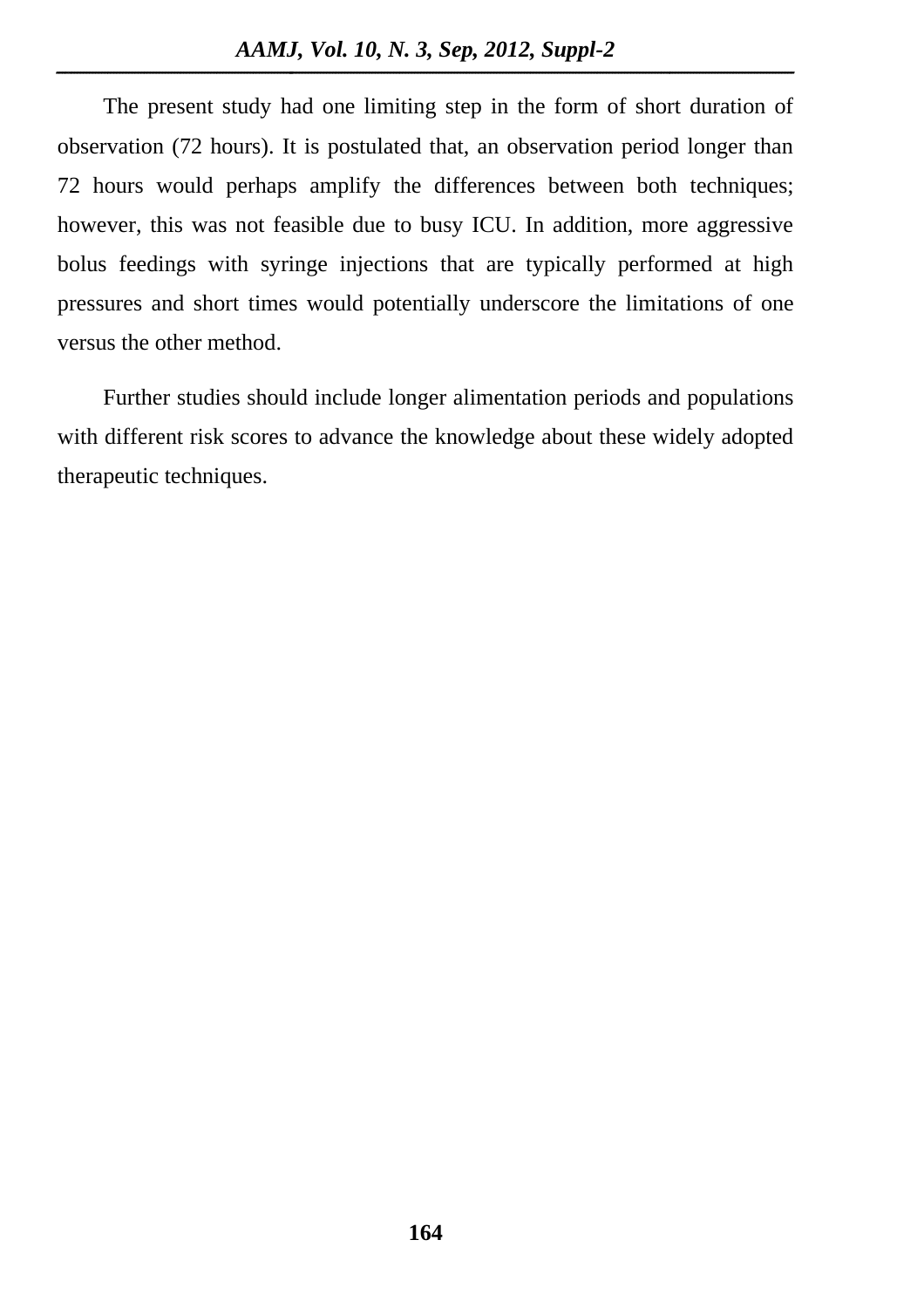The present study had one limiting step in the form of short duration of observation (72 hours). It is postulated that, an observation period longer than 72 hours would perhaps amplify the differences between both techniques; however, this was not feasible due to busy ICU. In addition, more aggressive bolus feedings with syringe injections that are typically performed at high pressures and short times would potentially underscore the limitations of one versus the other method.

Further studies should include longer alimentation periods and populations with different risk scores to advance the knowledge about these widely adopted therapeutic techniques.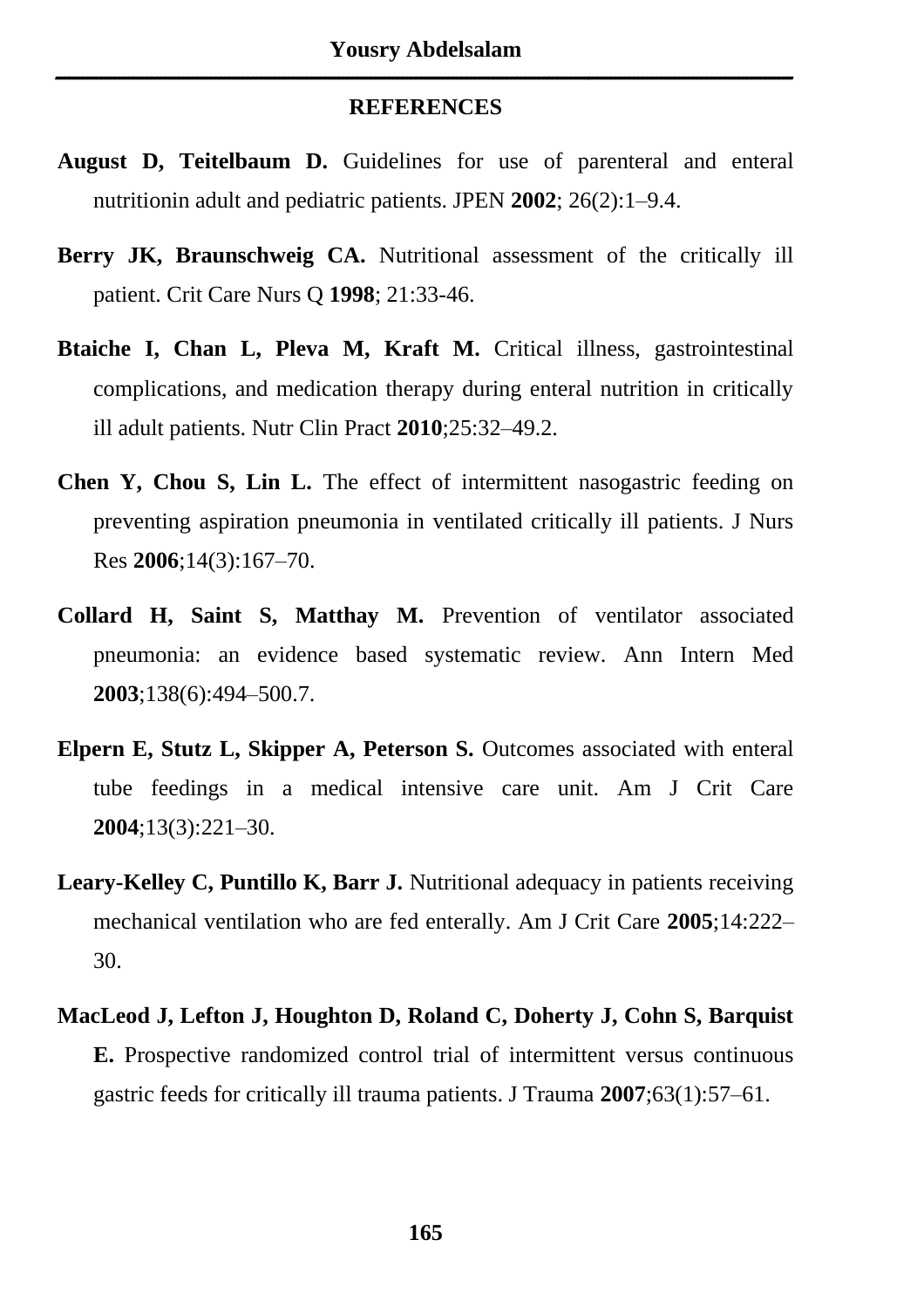#### **REFERENCES**

**ــــــــــــــــــــــــــــــــــــــــــــــــــــــــــــــــــــــــــــــــــــــــــــــــــــــــــــــــــــــــــــــــــــــــــــــــــــــــــــــــــ**

- **August D, Teitelbaum D.** Guidelines for use of parenteral and enteral nutritionin adult and pediatric patients. JPEN **2002**; 26(2):1–9.4.
- **Berry JK, Braunschweig CA.** Nutritional assessment of the critically ill patient. Crit Care Nurs Q **1998**; 21:33-46.
- **Btaiche I, Chan L, Pleva M, Kraft M.** Critical illness, gastrointestinal complications, and medication therapy during enteral nutrition in critically ill adult patients. Nutr Clin Pract **2010**;25:32–49.2.
- **Chen Y, Chou S, Lin L.** The effect of intermittent nasogastric feeding on preventing aspiration pneumonia in ventilated critically ill patients. J Nurs Res **2006**;14(3):167–70.
- **Collard H, Saint S, Matthay M.** Prevention of ventilator associated pneumonia: an evidence based systematic review. Ann Intern Med **2003**;138(6):494–500.7.
- **Elpern E, Stutz L, Skipper A, Peterson S.** Outcomes associated with enteral tube feedings in a medical intensive care unit. Am J Crit Care **2004**;13(3):221–30.
- **Leary-Kelley C, Puntillo K, Barr J.** Nutritional adequacy in patients receiving mechanical ventilation who are fed enterally. Am J Crit Care **2005**;14:222– 30.
- **MacLeod J, Lefton J, Houghton D, Roland C, Doherty J, Cohn S, Barquist E.** Prospective randomized control trial of intermittent versus continuous gastric feeds for critically ill trauma patients. J Trauma **2007**;63(1):57–61.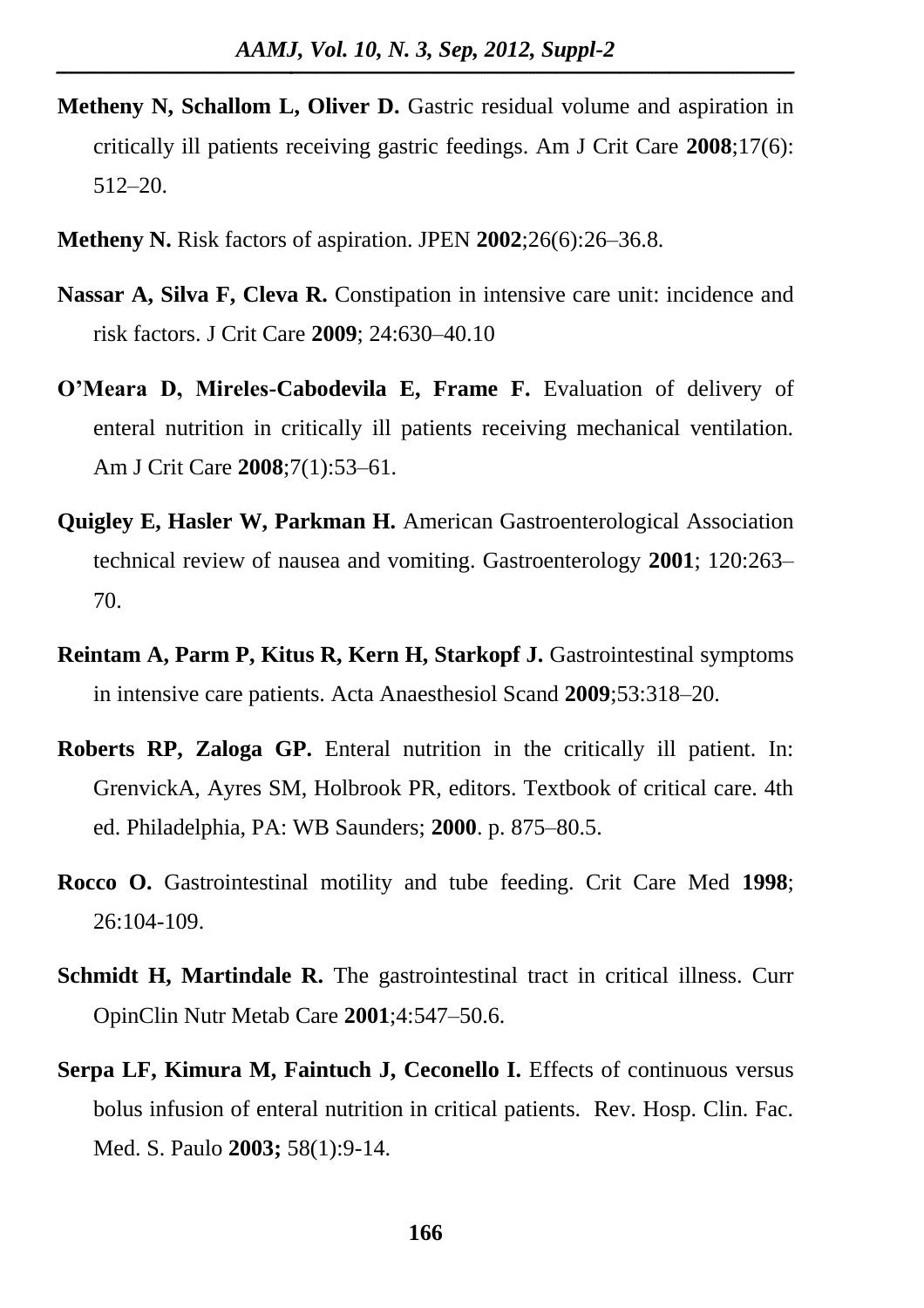- **Metheny N, Schallom L, Oliver D.** Gastric residual volume and aspiration in critically ill patients receiving gastric feedings. Am J Crit Care **2008**;17(6): 512–20.
- **Metheny N.** Risk factors of aspiration. JPEN **2002**;26(6):26–36.8.
- **Nassar A, Silva F, Cleva R.** Constipation in intensive care unit: incidence and risk factors. J Crit Care **2009**; 24:630–40.10
- **O'Meara D, Mireles-Cabodevila E, Frame F.** Evaluation of delivery of enteral nutrition in critically ill patients receiving mechanical ventilation. Am J Crit Care **2008**;7(1):53–61.
- **Quigley E, Hasler W, Parkman H.** American Gastroenterological Association technical review of nausea and vomiting. Gastroenterology **2001**; 120:263– 70.
- **Reintam A, Parm P, Kitus R, Kern H, Starkopf J.** Gastrointestinal symptoms in intensive care patients. Acta Anaesthesiol Scand **2009**;53:318–20.
- **Roberts RP, Zaloga GP.** Enteral nutrition in the critically ill patient. In: GrenvickA, Ayres SM, Holbrook PR, editors. Textbook of critical care. 4th ed. Philadelphia, PA: WB Saunders; **2000**. p. 875–80.5.
- **Rocco O.** Gastrointestinal motility and tube feeding. Crit Care Med **1998**; 26:104-109.
- **Schmidt H, Martindale R.** The gastrointestinal tract in critical illness. Curr OpinClin Nutr Metab Care **2001**;4:547–50.6.
- **Serpa LF, Kimura M, Faintuch J, Ceconello I.** Effects of continuous versus bolus infusion of enteral nutrition in critical patients. Rev. Hosp. Clin. Fac. Med. S. Paulo **2003;** 58(1):9-14.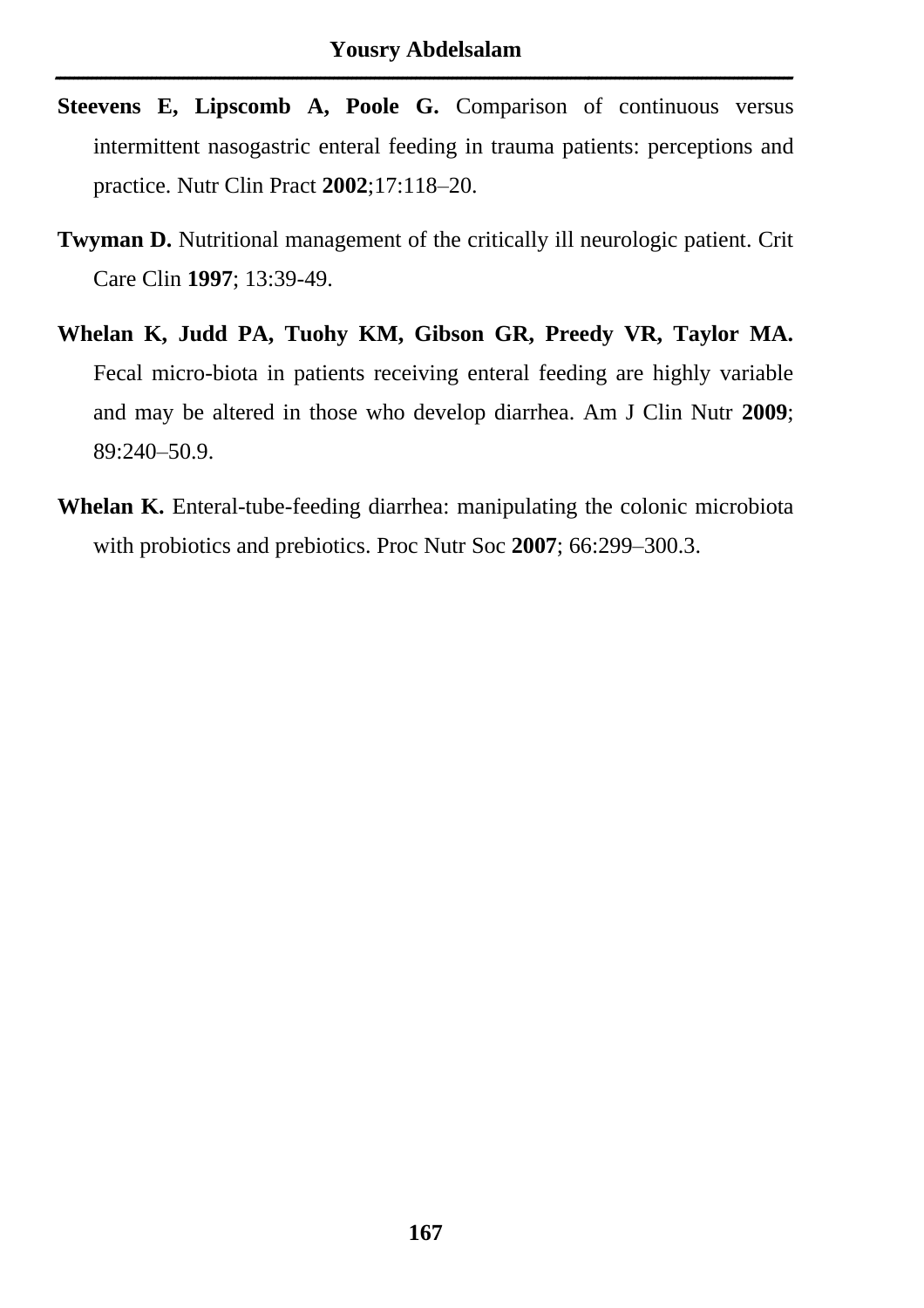- **Steevens E, Lipscomb A, Poole G.** Comparison of continuous versus intermittent nasogastric enteral feeding in trauma patients: perceptions and practice. Nutr Clin Pract **2002**;17:118–20.
- **Twyman D.** Nutritional management of the critically ill neurologic patient. Crit Care Clin **1997**; 13:39-49.
- **Whelan K, Judd PA, Tuohy KM, Gibson GR, Preedy VR, Taylor MA.** Fecal micro-biota in patients receiving enteral feeding are highly variable and may be altered in those who develop diarrhea. Am J Clin Nutr **2009**; 89:240–50.9.
- **Whelan K.** Enteral-tube-feeding diarrhea: manipulating the colonic microbiota with probiotics and prebiotics. Proc Nutr Soc **2007**; 66:299–300.3.